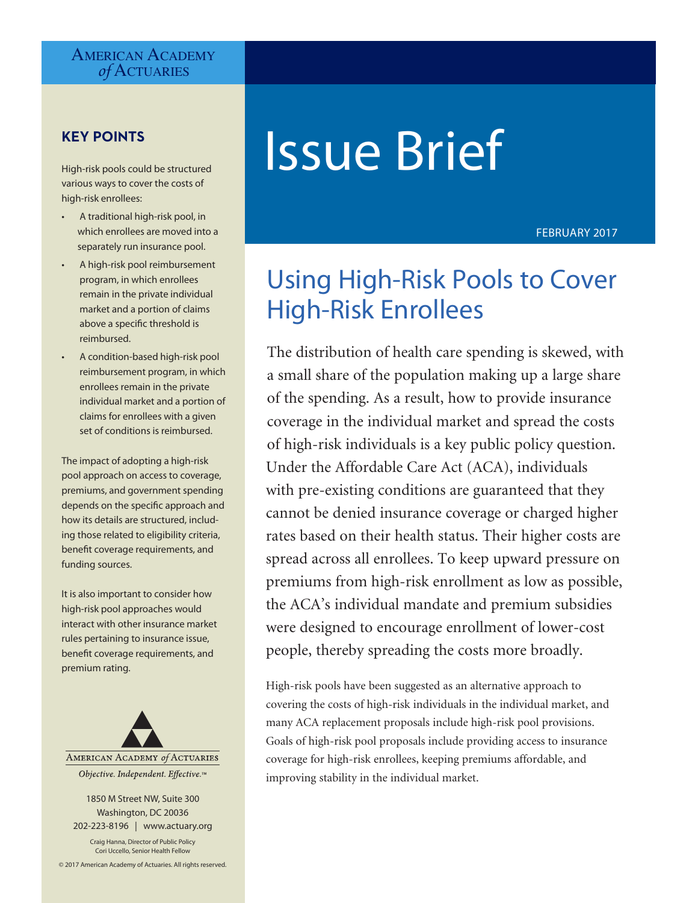#### **AMERICAN ACADEMY** *of* Actuaries

### **KEY POINTS**

High-risk pools could be structured various ways to cover the costs of high-risk enrollees:

- A traditional high-risk pool, in which enrollees are moved into a separately run insurance pool.
- A high-risk pool reimbursement program, in which enrollees remain in the private individual market and a portion of claims above a specific threshold is reimbursed.
- A condition-based high-risk pool reimbursement program, in which enrollees remain in the private individual market and a portion of claims for enrollees with a given set of conditions is reimbursed.

The impact of adopting a high-risk pool approach on access to coverage, premiums, and government spending depends on the specific approach and how its details are structured, including those related to eligibility criteria, benefit coverage requirements, and funding sources.

It is also important to consider how high-risk pool approaches would interact with other insurance market rules pertaining to insurance issue, benefit coverage requirements, and premium rating.



202-223-8196 | [www.actuary.org](http://www.actuary.org) Craig Hanna, Director of Public Policy Cori Uccello, Senior Health Fellow

© 2017 American Academy of Actuaries. All rights reserved.

# Issue Brief

FEBRUARY 2017

## Using High-Risk Pools to Cover High-Risk Enrollees

The distribution of health care spending is skewed, with a small share of the population making up a large share of the spending. As a result, how to provide insurance coverage in the individual market and spread the costs of high-risk individuals is a key public policy question. Under the Affordable Care Act (ACA), individuals with pre-existing conditions are guaranteed that they cannot be denied insurance coverage or charged higher rates based on their health status. Their higher costs are spread across all enrollees. To keep upward pressure on premiums from high-risk enrollment as low as possible, the ACA's individual mandate and premium subsidies were designed to encourage enrollment of lower-cost people, thereby spreading the costs more broadly.

High-risk pools have been suggested as an alternative approach to covering the costs of high-risk individuals in the individual market, and many ACA replacement proposals include high-risk pool provisions. Goals of high-risk pool proposals include providing access to insurance coverage for high-risk enrollees, keeping premiums affordable, and improving stability in the individual market.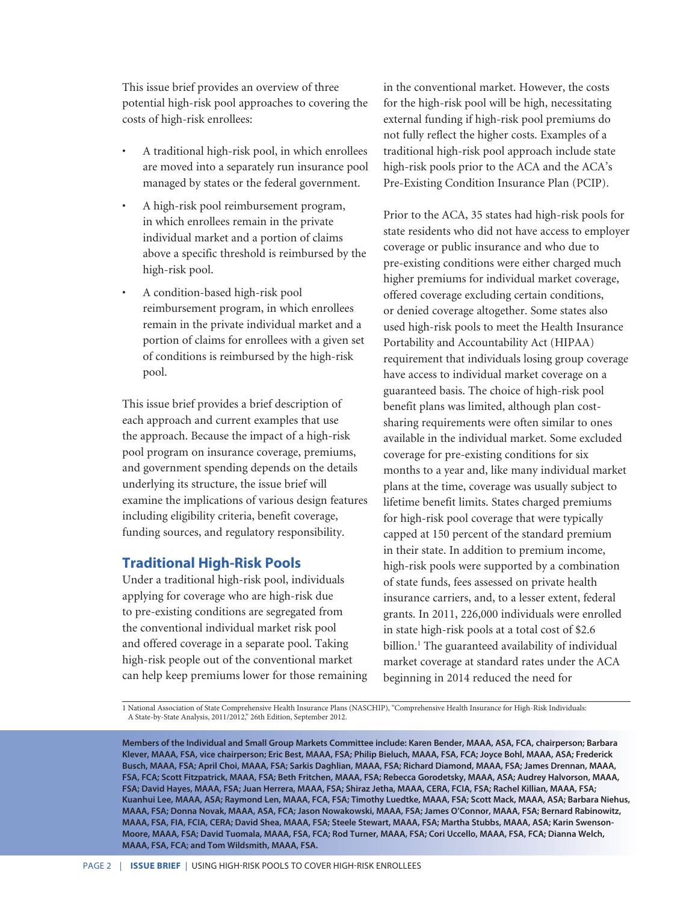This issue brief provides an overview of three potential high-risk pool approaches to covering the costs of high-risk enrollees:

- A traditional high-risk pool, in which enrollees are moved into a separately run insurance pool managed by states or the federal government.
- A high-risk pool reimbursement program, in which enrollees remain in the private individual market and a portion of claims above a specific threshold is reimbursed by the high-risk pool.
- A condition-based high-risk pool reimbursement program, in which enrollees remain in the private individual market and a portion of claims for enrollees with a given set of conditions is reimbursed by the high-risk pool.

This issue brief provides a brief description of each approach and current examples that use the approach. Because the impact of a high-risk pool program on insurance coverage, premiums, and government spending depends on the details underlying its structure, the issue brief will examine the implications of various design features including eligibility criteria, benefit coverage, funding sources, and regulatory responsibility.

#### **Traditional High-Risk Pools**

Under a traditional high-risk pool, individuals applying for coverage who are high-risk due to pre-existing conditions are segregated from the conventional individual market risk pool and offered coverage in a separate pool. Taking high-risk people out of the conventional market can help keep premiums lower for those remaining

in the conventional market. However, the costs for the high-risk pool will be high, necessitating external funding if high-risk pool premiums do not fully reflect the higher costs. Examples of a traditional high-risk pool approach include state high-risk pools prior to the ACA and the ACA's Pre-Existing Condition Insurance Plan (PCIP).

Prior to the ACA, 35 states had high-risk pools for state residents who did not have access to employer coverage or public insurance and who due to pre-existing conditions were either charged much higher premiums for individual market coverage, offered coverage excluding certain conditions, or denied coverage altogether. Some states also used high-risk pools to meet the Health Insurance Portability and Accountability Act (HIPAA) requirement that individuals losing group coverage have access to individual market coverage on a guaranteed basis. The choice of high-risk pool benefit plans was limited, although plan costsharing requirements were often similar to ones available in the individual market. Some excluded coverage for pre-existing conditions for six months to a year and, like many individual market plans at the time, coverage was usually subject to lifetime benefit limits. States charged premiums for high-risk pool coverage that were typically capped at 150 percent of the standard premium in their state. In addition to premium income, high-risk pools were supported by a combination of state funds, fees assessed on private health insurance carriers, and, to a lesser extent, federal grants. In 2011, 226,000 individuals were enrolled in state high-risk pools at a total cost of \$2.6 billion.1 The guaranteed availability of individual market coverage at standard rates under the ACA beginning in 2014 reduced the need for

1 National Association of State Comprehensive Health Insurance Plans (NASCHIP), "Comprehensive Health Insurance for High-Risk Individuals: A State-by-State Analysis, 2011/2012," 26th Edition, September 2012.

**Members of the Individual and Small Group Markets Committee include: Karen Bender, MAAA, ASA, FCA, chairperson; Barbara Klever, MAAA, FSA, vice chairperson; Eric Best, MAAA, FSA; Philip Bieluch, MAAA, FSA, FCA; Joyce Bohl, MAAA, ASA; Frederick Busch, MAAA, FSA; April Choi, MAAA, FSA; Sarkis Daghlian, MAAA, FSA; Richard Diamond, MAAA, FSA; James Drennan, MAAA, FSA, FCA; Scott Fitzpatrick, MAAA, FSA; Beth Fritchen, MAAA, FSA; Rebecca Gorodetsky, MAAA, ASA; Audrey Halvorson, MAAA, FSA; David Hayes, MAAA, FSA; Juan Herrera, MAAA, FSA; Shiraz Jetha, MAAA, CERA, FCIA, FSA; Rachel Killian, MAAA, FSA; Kuanhui Lee, MAAA, ASA; Raymond Len, MAAA, FCA, FSA; Timothy Luedtke, MAAA, FSA; Scott Mack, MAAA, ASA; Barbara Niehus, MAAA, FSA; Donna Novak, MAAA, ASA, FCA; Jason Nowakowski, MAAA, FSA; James O'Connor, MAAA, FSA; Bernard Rabinowitz, MAAA, FSA, FIA, FCIA, CERA; David Shea, MAAA, FSA; Steele Stewart, MAAA, FSA; Martha Stubbs, MAAA, ASA; Karin Swenson-Moore, MAAA, FSA; David Tuomala, MAAA, FSA, FCA; Rod Turner, MAAA, FSA; Cori Uccello, MAAA, FSA, FCA; Dianna Welch, MAAA, FSA, FCA; and Tom Wildsmith, MAAA, FSA.**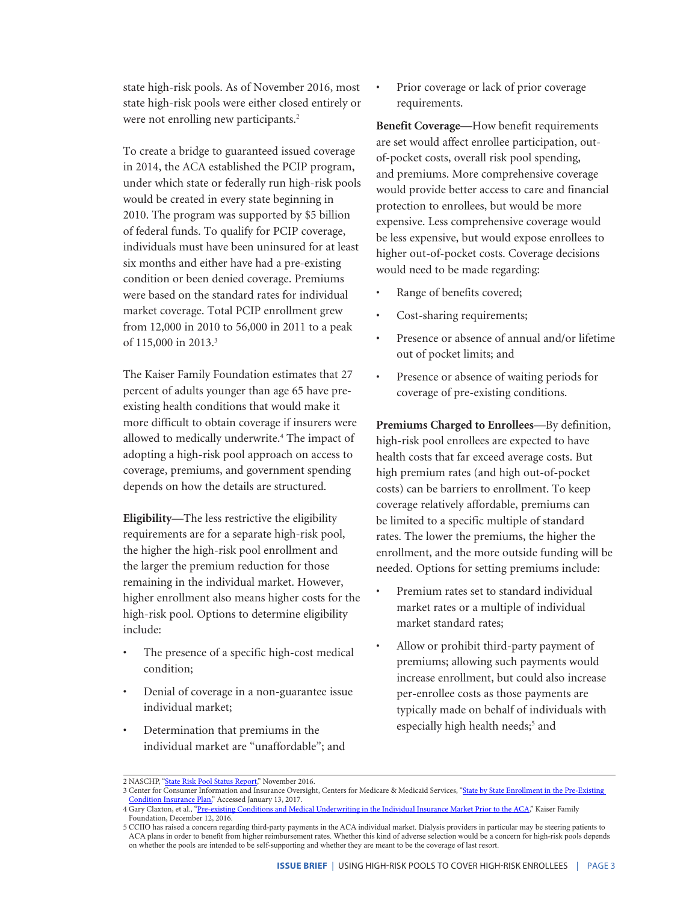state high-risk pools. As of November 2016, most state high-risk pools were either closed entirely or were not enrolling new participants.<sup>2</sup>

To create a bridge to guaranteed issued coverage in 2014, the ACA established the PCIP program, under which state or federally run high-risk pools would be created in every state beginning in 2010. The program was supported by \$5 billion of federal funds. To qualify for PCIP coverage, individuals must have been uninsured for at least six months and either have had a pre-existing condition or been denied coverage. Premiums were based on the standard rates for individual market coverage. Total PCIP enrollment grew from 12,000 in 2010 to 56,000 in 2011 to a peak of 115,000 in 2013.<sup>3</sup>

The Kaiser Family Foundation estimates that 27 percent of adults younger than age 65 have preexisting health conditions that would make it more difficult to obtain coverage if insurers were allowed to medically underwrite.<sup>4</sup> The impact of adopting a high-risk pool approach on access to coverage, premiums, and government spending depends on how the details are structured.

**Eligibility—**The less restrictive the eligibility requirements are for a separate high-risk pool, the higher the high-risk pool enrollment and the larger the premium reduction for those remaining in the individual market. However, higher enrollment also means higher costs for the high-risk pool. Options to determine eligibility include:

- The presence of a specific high-cost medical condition;
- Denial of coverage in a non-guarantee issue individual market;
- Determination that premiums in the individual market are "unaffordable"; and

Prior coverage or lack of prior coverage requirements.

**Benefit Coverage—**How benefit requirements are set would affect enrollee participation, outof-pocket costs, overall risk pool spending, and premiums. More comprehensive coverage would provide better access to care and financial protection to enrollees, but would be more expensive. Less comprehensive coverage would be less expensive, but would expose enrollees to higher out-of-pocket costs. Coverage decisions would need to be made regarding:

- Range of benefits covered;
- Cost-sharing requirements;
- Presence or absence of annual and/or lifetime out of pocket limits; and
- Presence or absence of waiting periods for coverage of pre-existing conditions.

**Premiums Charged to Enrollees—**By definition, high-risk pool enrollees are expected to have health costs that far exceed average costs. But high premium rates (and high out-of-pocket costs) can be barriers to enrollment. To keep coverage relatively affordable, premiums can be limited to a specific multiple of standard rates. The lower the premiums, the higher the enrollment, and the more outside funding will be needed. Options for setting premiums include:

- Premium rates set to standard individual market rates or a multiple of individual market standard rates;
- Allow or prohibit third-party payment of premiums; allowing such payments would increase enrollment, but could also increase per-enrollee costs as those payments are typically made on behalf of individuals with especially high health needs;<sup>5</sup> and

<sup>2</sup> NASCHP, "[State Risk Pool Status Report](http://www.naschip.org/2016/PoolEnrollmentSurvey2016.pdf)," November 2016.

<sup>3</sup> Center for Consumer Information and Insurance Oversight, Centers for Medicare & Medicaid Services, "State by State Enrollment in the Pre-Existing [Condition Insurance Plan](https://www.cms.gov/CCIIO/Resources/Fact-Sheets-and-FAQs/pcip-enrollment.html)," Accessed January 13, 2017.

<sup>4</sup> Gary Claxton, et al., ["Pre-existing Conditions and Medical Underwriting in the Individual Insurance Market Prior to the ACA,](http://kff.org/health-reform/issue-brief/pre-existing-conditions-and-medical-underwriting-in-the-individual-insurance-market-prior-to-the-aca/)" Kaiser Family Foundation, December 12, 2016.

<sup>5</sup> CCIIO has raised a concern regarding third-party payments in the ACA individual market. Dialysis providers in particular may be steering patients to ACA plans in order to benefit from higher reimbursement rates. Whether this kind of adverse selection would be a concern for high-risk pools depends on whether the pools are intended to be self-supporting and whether they are meant to be the coverage of last resort.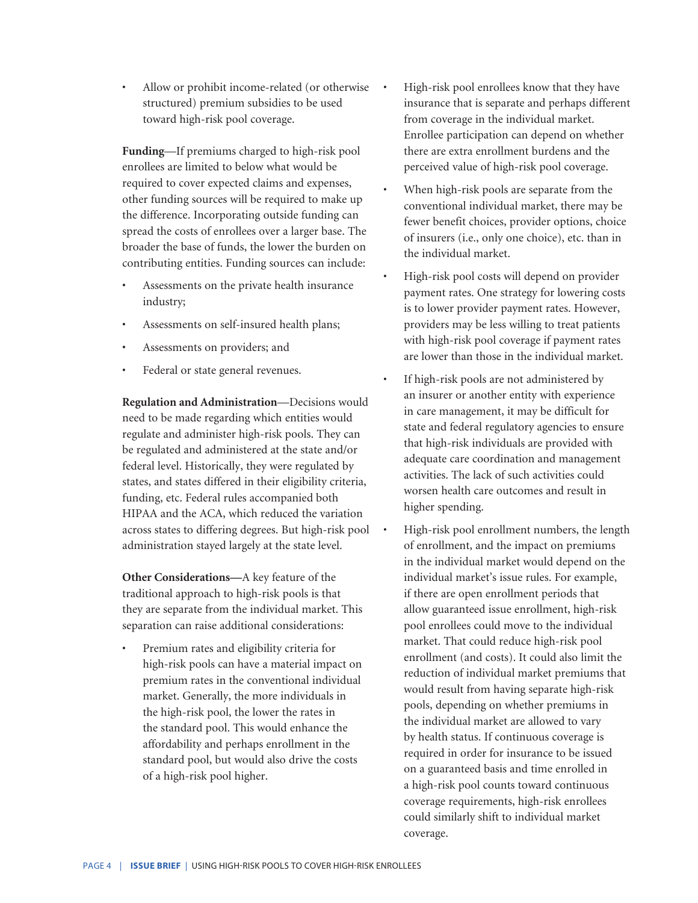• Allow or prohibit income-related (or otherwise structured) premium subsidies to be used toward high-risk pool coverage.

**Funding**—If premiums charged to high-risk pool enrollees are limited to below what would be required to cover expected claims and expenses, other funding sources will be required to make up the difference. Incorporating outside funding can spread the costs of enrollees over a larger base. The broader the base of funds, the lower the burden on contributing entities. Funding sources can include:

- Assessments on the private health insurance industry;
- Assessments on self-insured health plans;
- Assessments on providers; and
- Federal or state general revenues.

**Regulation and Administration**—Decisions would need to be made regarding which entities would regulate and administer high-risk pools. They can be regulated and administered at the state and/or federal level. Historically, they were regulated by states, and states differed in their eligibility criteria, funding, etc. Federal rules accompanied both HIPAA and the ACA, which reduced the variation across states to differing degrees. But high-risk pool administration stayed largely at the state level.

**Other Considerations—**A key feature of the traditional approach to high-risk pools is that they are separate from the individual market. This separation can raise additional considerations:

• Premium rates and eligibility criteria for high-risk pools can have a material impact on premium rates in the conventional individual market. Generally, the more individuals in the high-risk pool, the lower the rates in the standard pool. This would enhance the affordability and perhaps enrollment in the standard pool, but would also drive the costs of a high-risk pool higher.

- High-risk pool enrollees know that they have insurance that is separate and perhaps different from coverage in the individual market. Enrollee participation can depend on whether there are extra enrollment burdens and the perceived value of high-risk pool coverage.
- When high-risk pools are separate from the conventional individual market, there may be fewer benefit choices, provider options, choice of insurers (i.e., only one choice), etc. than in the individual market.
- High-risk pool costs will depend on provider payment rates. One strategy for lowering costs is to lower provider payment rates. However, providers may be less willing to treat patients with high-risk pool coverage if payment rates are lower than those in the individual market.
- If high-risk pools are not administered by an insurer or another entity with experience in care management, it may be difficult for state and federal regulatory agencies to ensure that high-risk individuals are provided with adequate care coordination and management activities. The lack of such activities could worsen health care outcomes and result in higher spending.
- High-risk pool enrollment numbers, the length of enrollment, and the impact on premiums in the individual market would depend on the individual market's issue rules. For example, if there are open enrollment periods that allow guaranteed issue enrollment, high-risk pool enrollees could move to the individual market. That could reduce high-risk pool enrollment (and costs). It could also limit the reduction of individual market premiums that would result from having separate high-risk pools, depending on whether premiums in the individual market are allowed to vary by health status. If continuous coverage is required in order for insurance to be issued on a guaranteed basis and time enrolled in a high-risk pool counts toward continuous coverage requirements, high-risk enrollees could similarly shift to individual market coverage.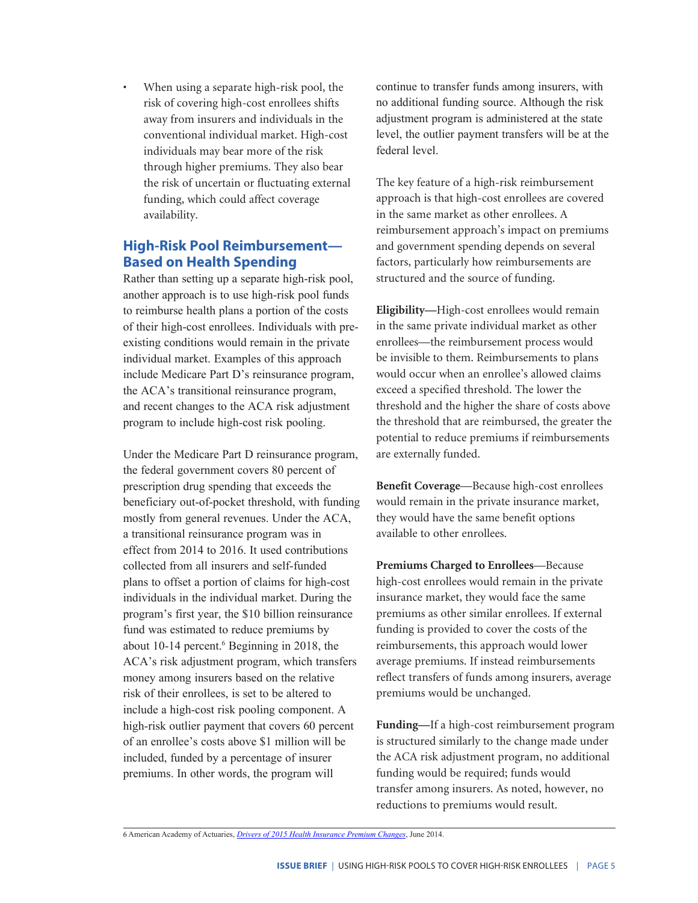When using a separate high-risk pool, the risk of covering high-cost enrollees shifts away from insurers and individuals in the conventional individual market. High-cost individuals may bear more of the risk through higher premiums. They also bear the risk of uncertain or fluctuating external funding, which could affect coverage availability.

#### **High-Risk Pool Reimbursement— Based on Health Spending**

Rather than setting up a separate high-risk pool, another approach is to use high-risk pool funds to reimburse health plans a portion of the costs of their high-cost enrollees. Individuals with preexisting conditions would remain in the private individual market. Examples of this approach include Medicare Part D's reinsurance program, the ACA's transitional reinsurance program, and recent changes to the ACA risk adjustment program to include high-cost risk pooling.

Under the Medicare Part D reinsurance program, the federal government covers 80 percent of prescription drug spending that exceeds the beneficiary out-of-pocket threshold, with funding mostly from general revenues. Under the ACA, a transitional reinsurance program was in effect from 2014 to 2016. It used contributions collected from all insurers and self-funded plans to offset a portion of claims for high-cost individuals in the individual market. During the program's first year, the \$10 billion reinsurance fund was estimated to reduce premiums by about 10-14 percent.<sup>6</sup> Beginning in 2018, the ACA's risk adjustment program, which transfers money among insurers based on the relative risk of their enrollees, is set to be altered to include a high-cost risk pooling component. A high-risk outlier payment that covers 60 percent of an enrollee's costs above \$1 million will be included, funded by a percentage of insurer premiums. In other words, the program will

continue to transfer funds among insurers, with no additional funding source. Although the risk adjustment program is administered at the state level, the outlier payment transfers will be at the federal level.

The key feature of a high-risk reimbursement approach is that high-cost enrollees are covered in the same market as other enrollees. A reimbursement approach's impact on premiums and government spending depends on several factors, particularly how reimbursements are structured and the source of funding.

**Eligibility—**High-cost enrollees would remain in the same private individual market as other enrollees—the reimbursement process would be invisible to them. Reimbursements to plans would occur when an enrollee's allowed claims exceed a specified threshold. The lower the threshold and the higher the share of costs above the threshold that are reimbursed, the greater the potential to reduce premiums if reimbursements are externally funded.

**Benefit Coverage**—Because high-cost enrollees would remain in the private insurance market, they would have the same benefit options available to other enrollees.

**Premiums Charged to Enrollees**—Because high-cost enrollees would remain in the private insurance market, they would face the same premiums as other similar enrollees. If external funding is provided to cover the costs of the reimbursements, this approach would lower average premiums. If instead reimbursements reflect transfers of funds among insurers, average premiums would be unchanged.

**Funding—**If a high-cost reimbursement program is structured similarly to the change made under the ACA risk adjustment program, no additional funding would be required; funds would transfer among insurers. As noted, however, no reductions to premiums would result.

6 American Academy of Actuaries, *[Drivers of 2015 Health Insurance Premium Changes](http://www.actuary.org/files/2015_Premium_Drivers_Updated_060414.pdf)*, June 2014.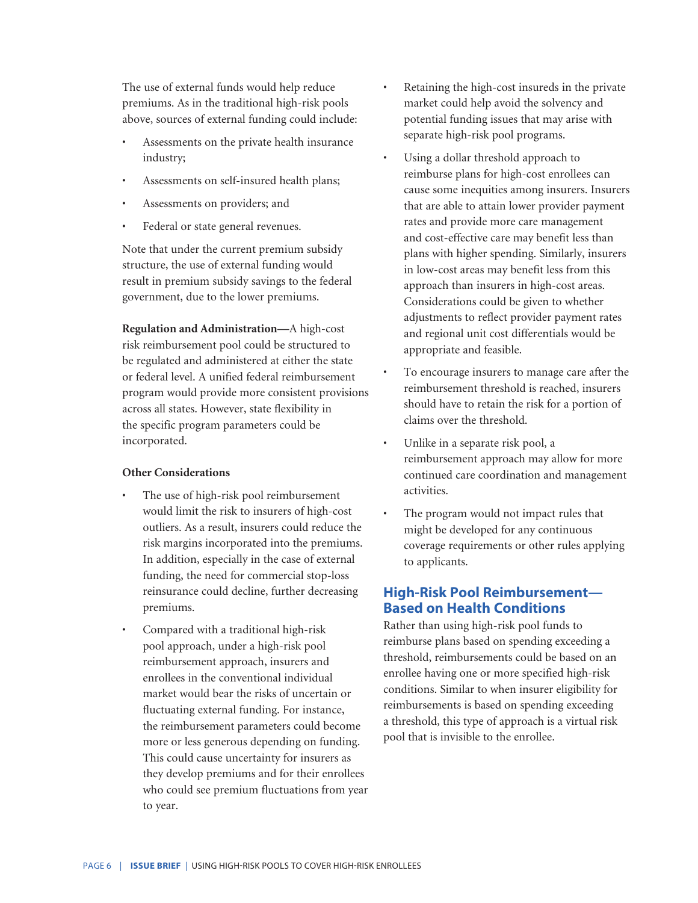The use of external funds would help reduce premiums. As in the traditional high-risk pools above, sources of external funding could include:

- Assessments on the private health insurance industry;
- Assessments on self-insured health plans;
- Assessments on providers; and
- Federal or state general revenues.

Note that under the current premium subsidy structure, the use of external funding would result in premium subsidy savings to the federal government, due to the lower premiums.

**Regulation and Administration—**A high-cost risk reimbursement pool could be structured to be regulated and administered at either the state or federal level. A unified federal reimbursement program would provide more consistent provisions across all states. However, state flexibility in the specific program parameters could be incorporated.

#### **Other Considerations**

- The use of high-risk pool reimbursement would limit the risk to insurers of high-cost outliers. As a result, insurers could reduce the risk margins incorporated into the premiums. In addition, especially in the case of external funding, the need for commercial stop-loss reinsurance could decline, further decreasing premiums.
- Compared with a traditional high-risk pool approach, under a high-risk pool reimbursement approach, insurers and enrollees in the conventional individual market would bear the risks of uncertain or fluctuating external funding. For instance, the reimbursement parameters could become more or less generous depending on funding. This could cause uncertainty for insurers as they develop premiums and for their enrollees who could see premium fluctuations from year to year.
- Retaining the high-cost insureds in the private market could help avoid the solvency and potential funding issues that may arise with separate high-risk pool programs.
- Using a dollar threshold approach to reimburse plans for high-cost enrollees can cause some inequities among insurers. Insurers that are able to attain lower provider payment rates and provide more care management and cost-effective care may benefit less than plans with higher spending. Similarly, insurers in low-cost areas may benefit less from this approach than insurers in high-cost areas. Considerations could be given to whether adjustments to reflect provider payment rates and regional unit cost differentials would be appropriate and feasible.
- To encourage insurers to manage care after the reimbursement threshold is reached, insurers should have to retain the risk for a portion of claims over the threshold.
- Unlike in a separate risk pool, a reimbursement approach may allow for more continued care coordination and management activities.
- The program would not impact rules that might be developed for any continuous coverage requirements or other rules applying to applicants.

#### **High-Risk Pool Reimbursement— Based on Health Conditions**

Rather than using high-risk pool funds to reimburse plans based on spending exceeding a threshold, reimbursements could be based on an enrollee having one or more specified high-risk conditions. Similar to when insurer eligibility for reimbursements is based on spending exceeding a threshold, this type of approach is a virtual risk pool that is invisible to the enrollee.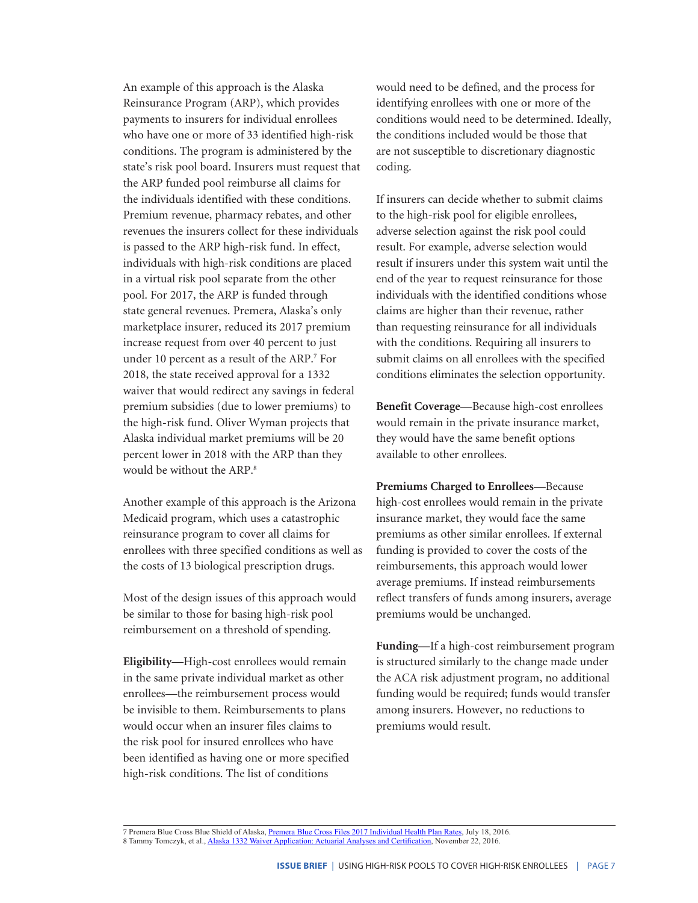An example of this approach is the Alaska Reinsurance Program (ARP), which provides payments to insurers for individual enrollees who have one or more of 33 identified high-risk conditions. The program is administered by the state's risk pool board. Insurers must request that the ARP funded pool reimburse all claims for the individuals identified with these conditions. Premium revenue, pharmacy rebates, and other revenues the insurers collect for these individuals is passed to the ARP high-risk fund. In effect, individuals with high-risk conditions are placed in a virtual risk pool separate from the other pool. For 2017, the ARP is funded through state general revenues. Premera, Alaska's only marketplace insurer, reduced its 2017 premium increase request from over 40 percent to just under 10 percent as a result of the ARP.7 For 2018, the state received approval for a 1332 waiver that would redirect any savings in federal premium subsidies (due to lower premiums) to the high-risk fund. Oliver Wyman projects that Alaska individual market premiums will be 20 percent lower in 2018 with the ARP than they would be without the ARP.<sup>8</sup>

Another example of this approach is the Arizona Medicaid program, which uses a catastrophic reinsurance program to cover all claims for enrollees with three specified conditions as well as the costs of 13 biological prescription drugs.

Most of the design issues of this approach would be similar to those for basing high-risk pool reimbursement on a threshold of spending.

**Eligibility**—High-cost enrollees would remain in the same private individual market as other enrollees—the reimbursement process would be invisible to them. Reimbursements to plans would occur when an insurer files claims to the risk pool for insured enrollees who have been identified as having one or more specified high-risk conditions. The list of conditions

would need to be defined, and the process for identifying enrollees with one or more of the conditions would need to be determined. Ideally, the conditions included would be those that are not susceptible to discretionary diagnostic coding.

If insurers can decide whether to submit claims to the high-risk pool for eligible enrollees, adverse selection against the risk pool could result. For example, adverse selection would result if insurers under this system wait until the end of the year to request reinsurance for those individuals with the identified conditions whose claims are higher than their revenue, rather than requesting reinsurance for all individuals with the conditions. Requiring all insurers to submit claims on all enrollees with the specified conditions eliminates the selection opportunity.

**Benefit Coverage**—Because high-cost enrollees would remain in the private insurance market, they would have the same benefit options available to other enrollees.

**Premiums Charged to Enrollees**—Because high-cost enrollees would remain in the private insurance market, they would face the same premiums as other similar enrollees. If external funding is provided to cover the costs of the reimbursements, this approach would lower average premiums. If instead reimbursements reflect transfers of funds among insurers, average premiums would be unchanged.

**Funding—**If a high-cost reimbursement program is structured similarly to the change made under the ACA risk adjustment program, no additional funding would be required; funds would transfer among insurers. However, no reductions to premiums would result.

<sup>7</sup> Premera Blue Cross Blue Shield of Alaska, [Premera Blue Cross Files 2017 Individual Health Plan Rates](https://www.premera.com/ak/visitor/about-premera/press-releases/2016_07_18/), July 18, 2016.

<sup>8</sup> Tammy Tomczyk, et al., [Alaska 1332 Waiver Application: Actuarial Analyses and Certification](https://aws.state.ak.us/OnlinePublicNotices/Notices/Attachment.aspx?id=105951), November 22, 2016.